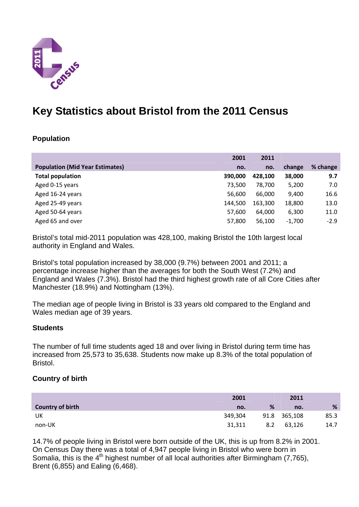

# **Key Statistics about Bristol from the 2011 Census**

# **Population**

|                                        | 2001    | 2011    |          |          |
|----------------------------------------|---------|---------|----------|----------|
| <b>Population (Mid Year Estimates)</b> | no.     | no.     | change   | % change |
| <b>Total population</b>                | 390,000 | 428.100 | 38,000   | 9.7      |
| Aged 0-15 years                        | 73,500  | 78.700  | 5,200    | 7.0      |
| Aged 16-24 years                       | 56,600  | 66.000  | 9,400    | 16.6     |
| Aged 25-49 years                       | 144.500 | 163.300 | 18,800   | 13.0     |
| Aged 50-64 years                       | 57,600  | 64,000  | 6,300    | 11.0     |
| Aged 65 and over                       | 57,800  | 56,100  | $-1,700$ | $-2.9$   |

Bristol's total mid-2011 population was 428,100, making Bristol the 10th largest local authority in England and Wales.

Bristol's total population increased by 38,000 (9.7%) between 2001 and 2011; a percentage increase higher than the averages for both the South West (7.2%) and England and Wales (7.3%). Bristol had the third highest growth rate of all Core Cities after Manchester (18.9%) and Nottingham (13%).

The median age of people living in Bristol is 33 years old compared to the England and Wales median age of 39 years.

#### **Students**

The number of full time students aged 18 and over living in Bristol during term time has increased from 25,573 to 35,638. Students now make up 8.3% of the total population of Bristol.

#### **Country of birth**

|                         | 2001    |     | 2011         |      |
|-------------------------|---------|-----|--------------|------|
| <b>Country of birth</b> | no.     | %   | no.          | %    |
| UK                      | 349,304 |     | 91.8 365,108 | 85.3 |
| non-UK                  | 31,311  | 8.2 | 63,126       | 14.7 |

14.7% of people living in Bristol were born outside of the UK, this is up from 8.2% in 2001. On Census Day there was a total of 4,947 people living in Bristol who were born in Somalia, this is the  $4<sup>th</sup>$  highest number of all local authorities after Birmingham (7,765), Brent (6,855) and Ealing (6,468).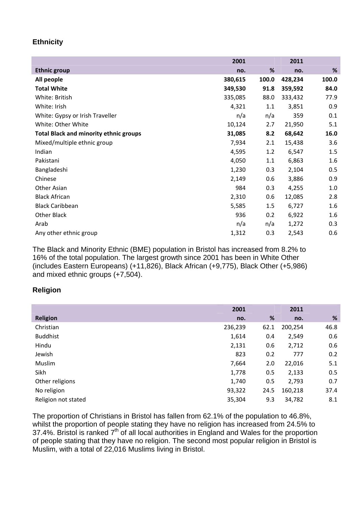# **Ethnicity**

|                                               | 2001    |       | 2011    |       |
|-----------------------------------------------|---------|-------|---------|-------|
| <b>Ethnic group</b>                           | no.     | %     | no.     | %     |
| All people                                    | 380,615 | 100.0 | 428,234 | 100.0 |
| <b>Total White</b>                            | 349,530 | 91.8  | 359,592 | 84.0  |
| White: British                                | 335,085 | 88.0  | 333,432 | 77.9  |
| White: Irish                                  | 4,321   | 1.1   | 3,851   | 0.9   |
| White: Gypsy or Irish Traveller               | n/a     | n/a   | 359     | 0.1   |
| White: Other White                            | 10,124  | 2.7   | 21,950  | 5.1   |
| <b>Total Black and minority ethnic groups</b> | 31,085  | 8.2   | 68,642  | 16.0  |
| Mixed/multiple ethnic group                   | 7,934   | 2.1   | 15,438  | 3.6   |
| Indian                                        | 4,595   | 1.2   | 6,547   | 1.5   |
| Pakistani                                     | 4,050   | 1.1   | 6,863   | 1.6   |
| Bangladeshi                                   | 1,230   | 0.3   | 2,104   | 0.5   |
| Chinese                                       | 2,149   | 0.6   | 3,886   | 0.9   |
| Other Asian                                   | 984     | 0.3   | 4,255   | 1.0   |
| <b>Black African</b>                          | 2,310   | 0.6   | 12,085  | 2.8   |
| <b>Black Caribbean</b>                        | 5,585   | 1.5   | 6,727   | 1.6   |
| Other Black                                   | 936     | 0.2   | 6,922   | 1.6   |
| Arab                                          | n/a     | n/a   | 1,272   | 0.3   |
| Any other ethnic group                        | 1,312   | 0.3   | 2,543   | 0.6   |

The Black and Minority Ethnic (BME) population in Bristol has increased from 8.2% to 16% of the total population. The largest growth since 2001 has been in White Other (includes Eastern Europeans) (+11,826), Black African (+9,775), Black Other (+5,986) and mixed ethnic groups (+7,504).

## **Religion**

|                     | 2001    |      | 2011    |      |
|---------------------|---------|------|---------|------|
| <b>Religion</b>     | no.     | %    | no.     | %    |
| Christian           | 236,239 | 62.1 | 200,254 | 46.8 |
| <b>Buddhist</b>     | 1,614   | 0.4  | 2,549   | 0.6  |
| Hindu               | 2,131   | 0.6  | 2,712   | 0.6  |
| Jewish              | 823     | 0.2  | 777     | 0.2  |
| Muslim              | 7,664   | 2.0  | 22,016  | 5.1  |
| Sikh                | 1,778   | 0.5  | 2,133   | 0.5  |
| Other religions     | 1,740   | 0.5  | 2,793   | 0.7  |
| No religion         | 93,322  | 24.5 | 160,218 | 37.4 |
| Religion not stated | 35,304  | 9.3  | 34,782  | 8.1  |

The proportion of Christians in Bristol has fallen from 62.1% of the population to 46.8%, whilst the proportion of people stating they have no religion has increased from 24.5% to 37.4%. Bristol is ranked 7<sup>th</sup> of all local authorities in England and Wales for the proportion of people stating that they have no religion. The second most popular religion in Bristol is Muslim, with a total of 22,016 Muslims living in Bristol.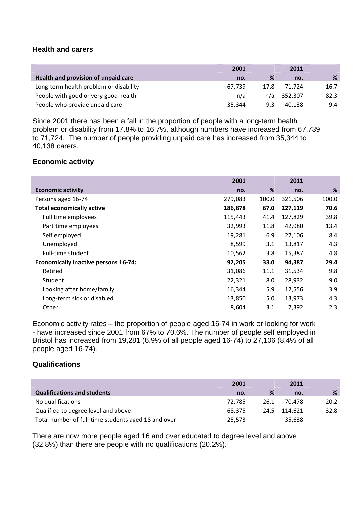## **Health and carers**

|                                        | 2001   |      | 2011    |      |
|----------------------------------------|--------|------|---------|------|
| Health and provision of unpaid care    | no.    | %    | no.     | %    |
| Long-term health problem or disability | 67.739 | 17.8 | 71.724  | 16.7 |
| People with good or very good health   | n/a    | n/a  | 352,307 | 82.3 |
| People who provide unpaid care         | 35,344 | 9.3  | 40.138  | 9.4  |

Since 2001 there has been a fall in the proportion of people with a long-term health problem or disability from 17.8% to 16.7%, although numbers have increased from 67,739 to 71,724. The number of people providing unpaid care has increased from 35,344 to 40,138 carers.

### **Economic activity**

|                                             | 2001    |                  | 2011    |       |
|---------------------------------------------|---------|------------------|---------|-------|
| <b>Economic activity</b>                    | no.     | %                | no.     | %     |
| Persons aged 16-74                          | 279,083 | 100.0            | 321,506 | 100.0 |
| <b>Total economically active</b>            | 186,878 | 67.0             | 227,119 | 70.6  |
| Full time employees                         | 115,443 | 41.4             | 127,829 | 39.8  |
| Part time employees                         | 32,993  | 11.8             | 42,980  | 13.4  |
| Self employed                               | 19,281  | 6.9              | 27,106  | 8.4   |
| Unemployed                                  | 8,599   | 3.1              | 13,817  | 4.3   |
| Full-time student                           | 10,562  | 3.8 <sub>2</sub> | 15,387  | 4.8   |
| <b>Economically inactive persons 16-74:</b> | 92,205  | 33.0             | 94,387  | 29.4  |
| Retired                                     | 31,086  | 11.1             | 31,534  | 9.8   |
| Student                                     | 22,321  | 8.0              | 28,932  | 9.0   |
| Looking after home/family                   | 16,344  | 5.9              | 12,556  | 3.9   |
| Long-term sick or disabled                  | 13,850  | 5.0              | 13,973  | 4.3   |
| Other                                       | 8,604   | 3.1              | 7,392   | 2.3   |

Economic activity rates – the proportion of people aged 16-74 in work or looking for work - have increased since 2001 from 67% to 70.6%. The number of people self employed in Bristol has increased from 19,281 (6.9% of all people aged 16-74) to 27,106 (8.4% of all people aged 16-74).

#### **Qualifications**

|                                                     | 2001   |      | 2011    |      |
|-----------------------------------------------------|--------|------|---------|------|
| <b>Qualifications and students</b>                  | no.    | %    | no.     | %    |
| No qualifications                                   | 72.785 | 26.1 | 70.478  | 20.2 |
| Qualified to degree level and above                 | 68.375 | 24.5 | 114.621 | 32.8 |
| Total number of full-time students aged 18 and over | 25,573 |      | 35,638  |      |

There are now more people aged 16 and over educated to degree level and above (32.8%) than there are people with no qualifications (20.2%).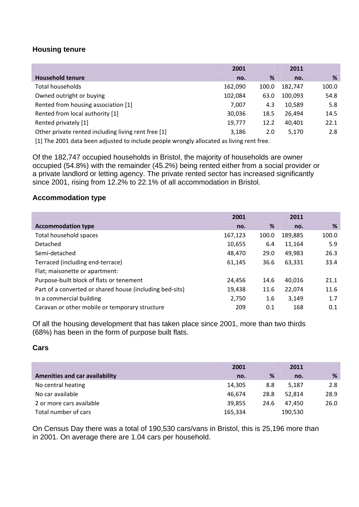# **Housing tenure**

|                                                     | 2001    |       | 2011    |       |
|-----------------------------------------------------|---------|-------|---------|-------|
| <b>Household tenure</b>                             | no.     | ℅     | no.     | %     |
| Total households                                    | 162,090 | 100.0 | 182,747 | 100.0 |
| Owned outright or buying                            | 102,084 | 63.0  | 100,093 | 54.8  |
| Rented from housing association [1]                 | 7,007   | 4.3   | 10,589  | 5.8   |
| Rented from local authority [1]                     | 30,036  | 18.5  | 26.494  | 14.5  |
| Rented privately [1]                                | 19,777  | 12.2  | 40.401  | 22.1  |
| Other private rented including living rent free [1] | 3,186   | 2.0   | 5,170   | 2.8   |
|                                                     |         |       |         |       |

[1] The 2001 data been adjusted to include people wrongly allocated as living rent free.

Of the 182,747 occupied households in Bristol, the majority of households are owner occupied (54.8%) with the remainder (45.2%) being rented either from a social provider or a private landlord or letting agency. The private rented sector has increased significantly since 2001, rising from 12.2% to 22.1% of all accommodation in Bristol.

## **Accommodation type**

|                                                          | 2001    |       | 2011    |       |
|----------------------------------------------------------|---------|-------|---------|-------|
| <b>Accommodation type</b>                                | no.     | %     | no.     | %     |
| Total household spaces                                   | 167,123 | 100.0 | 189,885 | 100.0 |
| Detached                                                 | 10,655  | 6.4   | 11,164  | 5.9   |
| Semi-detached                                            | 48,470  | 29.0  | 49,983  | 26.3  |
| Terraced (including end-terrace)                         | 61,145  | 36.6  | 63,331  | 33.4  |
| Flat; maisonette or apartment:                           |         |       |         |       |
| Purpose-built block of flats or tenement                 | 24,456  | 14.6  | 40,016  | 21.1  |
| Part of a converted or shared house (including bed-sits) | 19,438  | 11.6  | 22,074  | 11.6  |
| In a commercial building                                 | 2,750   | 1.6   | 3,149   | 1.7   |
| Caravan or other mobile or temporary structure           | 209     | 0.1   | 168     | 0.1   |

Of all the housing development that has taken place since 2001, more than two thirds (68%) has been in the form of purpose built flats.

## **Cars**

|                                       | 2001    |      | 2011    |      |
|---------------------------------------|---------|------|---------|------|
| <b>Amenities and car availability</b> | no.     | %    | no.     | %    |
| No central heating                    | 14,305  | 8.8  | 5,187   | 2.8  |
| No car available                      | 46,674  | 28.8 | 52,814  | 28.9 |
| 2 or more cars available              | 39,855  | 24.6 | 47.450  | 26.0 |
| Total number of cars                  | 165,334 |      | 190,530 |      |

On Census Day there was a total of 190,530 cars/vans in Bristol, this is 25,196 more than in 2001. On average there are 1.04 cars per household.